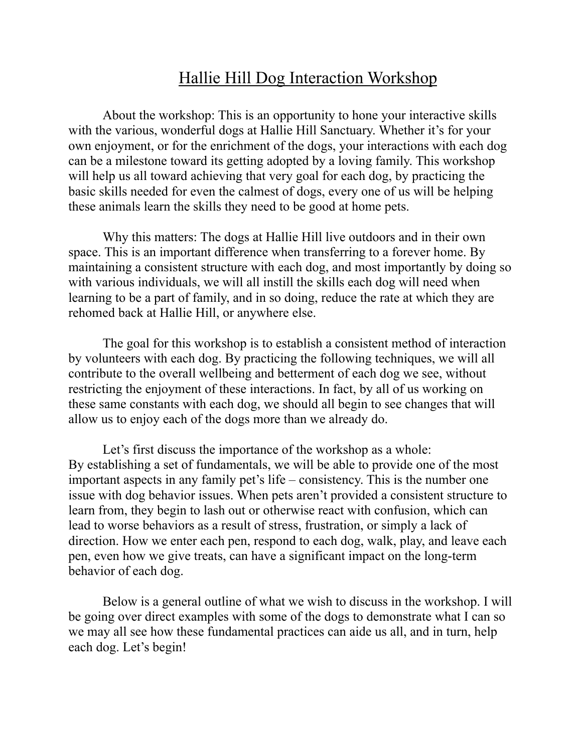## Hallie Hill Dog Interaction Workshop

About the workshop: This is an opportunity to hone your interactive skills with the various, wonderful dogs at Hallie Hill Sanctuary. Whether it's for your own enjoyment, or for the enrichment of the dogs, your interactions with each dog can be a milestone toward its getting adopted by a loving family. This workshop will help us all toward achieving that very goal for each dog, by practicing the basic skills needed for even the calmest of dogs, every one of us will be helping these animals learn the skills they need to be good at home pets.

Why this matters: The dogs at Hallie Hill live outdoors and in their own space. This is an important difference when transferring to a forever home. By maintaining a consistent structure with each dog, and most importantly by doing so with various individuals, we will all instill the skills each dog will need when learning to be a part of family, and in so doing, reduce the rate at which they are rehomed back at Hallie Hill, or anywhere else.

The goal for this workshop is to establish a consistent method of interaction by volunteers with each dog. By practicing the following techniques, we will all contribute to the overall wellbeing and betterment of each dog we see, without restricting the enjoyment of these interactions. In fact, by all of us working on these same constants with each dog, we should all begin to see changes that will allow us to enjoy each of the dogs more than we already do.

Let's first discuss the importance of the workshop as a whole: By establishing a set of fundamentals, we will be able to provide one of the most important aspects in any family pet's life – consistency. This is the number one issue with dog behavior issues. When pets aren't provided a consistent structure to learn from, they begin to lash out or otherwise react with confusion, which can lead to worse behaviors as a result of stress, frustration, or simply a lack of direction. How we enter each pen, respond to each dog, walk, play, and leave each pen, even how we give treats, can have a significant impact on the long-term behavior of each dog.

 Below is a general outline of what we wish to discuss in the workshop. I will be going over direct examples with some of the dogs to demonstrate what I can so we may all see how these fundamental practices can aide us all, and in turn, help each dog. Let's begin!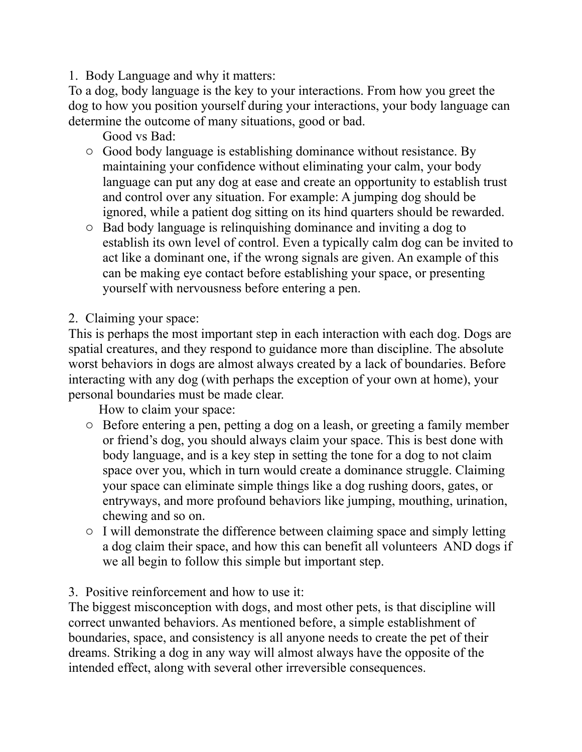1. Body Language and why it matters:

To a dog, body language is the key to your interactions. From how you greet the dog to how you position yourself during your interactions, your body language can determine the outcome of many situations, good or bad.

Good vs Bad:

- o Good body language is establishing dominance without resistance. By maintaining your confidence without eliminating your calm, your body language can put any dog at ease and create an opportunity to establish trust and control over any situation. For example: A jumping dog should be ignored, while a patient dog sitting on its hind quarters should be rewarded.
- o Bad body language is relinquishing dominance and inviting a dog to establish its own level of control. Even a typically calm dog can be invited to act like a dominant one, if the wrong signals are given. An example of this can be making eye contact before establishing your space, or presenting yourself with nervousness before entering a pen.
- 2. Claiming your space:

This is perhaps the most important step in each interaction with each dog. Dogs are spatial creatures, and they respond to guidance more than discipline. The absolute worst behaviors in dogs are almost always created by a lack of boundaries. Before interacting with any dog (with perhaps the exception of your own at home), your personal boundaries must be made clear.

How to claim your space:

- o Before entering a pen, petting a dog on a leash, or greeting a family member or friend's dog, you should always claim your space. This is best done with body language, and is a key step in setting the tone for a dog to not claim space over you, which in turn would create a dominance struggle. Claiming your space can eliminate simple things like a dog rushing doors, gates, or entryways, and more profound behaviors like jumping, mouthing, urination, chewing and so on.
- o I will demonstrate the difference between claiming space and simply letting a dog claim their space, and how this can benefit all volunteers AND dogs if we all begin to follow this simple but important step.

3. Positive reinforcement and how to use it:

The biggest misconception with dogs, and most other pets, is that discipline will correct unwanted behaviors. As mentioned before, a simple establishment of boundaries, space, and consistency is all anyone needs to create the pet of their dreams. Striking a dog in any way will almost always have the opposite of the intended effect, along with several other irreversible consequences.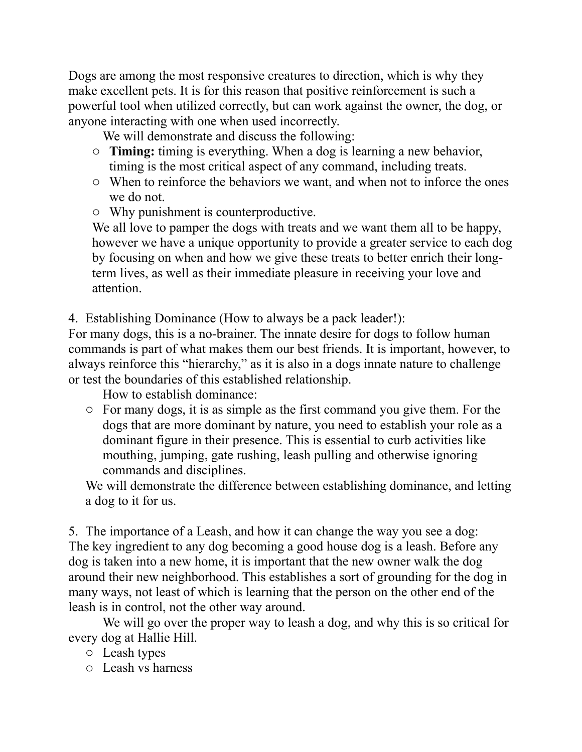Dogs are among the most responsive creatures to direction, which is why they make excellent pets. It is for this reason that positive reinforcement is such a powerful tool when utilized correctly, but can work against the owner, the dog, or anyone interacting with one when used incorrectly.

We will demonstrate and discuss the following:

- o **Timing:** timing is everything. When a dog is learning a new behavior, timing is the most critical aspect of any command, including treats.
- o When to reinforce the behaviors we want, and when not to inforce the ones we do not.
- o Why punishment is counterproductive.

We all love to pamper the dogs with treats and we want them all to be happy, however we have a unique opportunity to provide a greater service to each dog by focusing on when and how we give these treats to better enrich their longterm lives, as well as their immediate pleasure in receiving your love and attention.

4. Establishing Dominance (How to always be a pack leader!):

For many dogs, this is a no-brainer. The innate desire for dogs to follow human commands is part of what makes them our best friends. It is important, however, to always reinforce this "hierarchy," as it is also in a dogs innate nature to challenge or test the boundaries of this established relationship.

How to establish dominance:

o For many dogs, it is as simple as the first command you give them. For the dogs that are more dominant by nature, you need to establish your role as a dominant figure in their presence. This is essential to curb activities like mouthing, jumping, gate rushing, leash pulling and otherwise ignoring commands and disciplines.

We will demonstrate the difference between establishing dominance, and letting a dog to it for us.

5. The importance of a Leash, and how it can change the way you see a dog: The key ingredient to any dog becoming a good house dog is a leash. Before any dog is taken into a new home, it is important that the new owner walk the dog around their new neighborhood. This establishes a sort of grounding for the dog in many ways, not least of which is learning that the person on the other end of the leash is in control, not the other way around.

We will go over the proper way to leash a dog, and why this is so critical for every dog at Hallie Hill.

- o Leash types
- o Leash vs harness